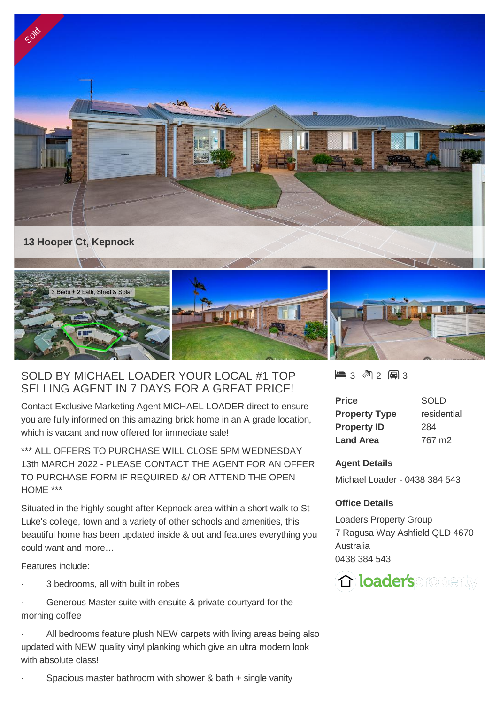



## SOLD BY MICHAEL LOADER YOUR LOCAL #1 TOP SELLING AGENT IN 7 DAYS FOR A GREAT PRICE!

Contact Exclusive Marketing Agent MICHAEL LOADER direct to ensure you are fully informed on this amazing brick home in an A grade location, which is vacant and now offered for immediate sale!

\*\*\* ALL OFFERS TO PURCHASE WILL CLOSE 5PM WEDNESDAY 13th MARCH 2022 - PLEASE CONTACT THE AGENT FOR AN OFFER TO PURCHASE FORM IF REQUIRED &/ OR ATTEND THE OPEN HOME \*\*\*

Situated in the highly sought after Kepnock area within a short walk to St Luke's college, town and a variety of other schools and amenities, this beautiful home has been updated inside & out and features everything you could want and more…

Features include:

3 bedrooms, all with built in robes

Generous Master suite with ensuite & private courtyard for the morning coffee

All bedrooms feature plush NEW carpets with living areas being also updated with NEW quality vinyl planking which give an ultra modern look with absolute class!

3 2 3

| Price                | SOLD        |
|----------------------|-------------|
| <b>Property Type</b> | residential |
| <b>Property ID</b>   | 284         |
| <b>Land Area</b>     | 767 m2      |

## **Agent Details**

Michael Loader - 0438 384 543

## **Office Details**

Loaders Property Group 7 Ragusa Way Ashfield QLD 4670 Australia 0438 384 543



Spacious master bathroom with shower & bath  $+$  single vanity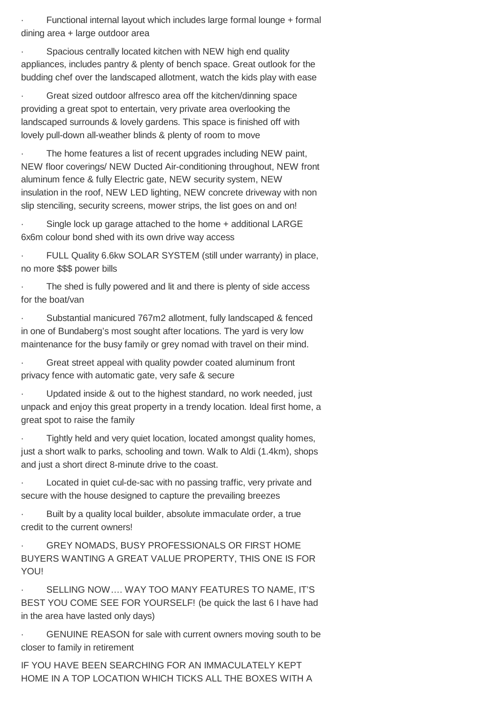Functional internal layout which includes large formal lounge + formal dining area + large outdoor area

Spacious centrally located kitchen with NEW high end quality appliances, includes pantry & plenty of bench space. Great outlook for the budding chef over the landscaped allotment, watch the kids play with ease

· Great sized outdoor alfresco area off the kitchen/dinning space providing a great spot to entertain, very private area overlooking the landscaped surrounds & lovely gardens. This space is finished off with lovely pull-down all-weather blinds & plenty of room to move

The home features a list of recent upgrades including NEW paint, NEW floor coverings/ NEW Ducted Air-conditioning throughout, NEW front aluminum fence & fully Electric gate, NEW security system, NEW insulation in the roof, NEW LED lighting, NEW concrete driveway with non slip stenciling, security screens, mower strips, the list goes on and on!

Single lock up garage attached to the home + additional LARGE 6x6m colour bond shed with its own drive way access

FULL Quality 6.6kw SOLAR SYSTEM (still under warranty) in place, no more \$\$\$ power bills

The shed is fully powered and lit and there is plenty of side access for the boat/van

Substantial manicured 767m2 allotment, fully landscaped & fenced in one of Bundaberg's most sought after locations. The yard is very low maintenance for the busy family or grey nomad with travel on their mind.

Great street appeal with quality powder coated aluminum front privacy fence with automatic gate, very safe & secure

Updated inside & out to the highest standard, no work needed, just unpack and enjoy this great property in a trendy location. Ideal first home, a great spot to raise the family

Tightly held and very quiet location, located amongst quality homes, just a short walk to parks, schooling and town. Walk to Aldi (1.4km), shops and just a short direct 8-minute drive to the coast.

Located in quiet cul-de-sac with no passing traffic, very private and secure with the house designed to capture the prevailing breezes

Built by a quality local builder, absolute immaculate order, a true credit to the current owners!

**GREY NOMADS, BUSY PROFESSIONALS OR FIRST HOME** BUYERS WANTING A GREAT VALUE PROPERTY, THIS ONE IS FOR YOU!

SELLING NOW.... WAY TOO MANY FEATURES TO NAME, IT'S BEST YOU COME SEE FOR YOURSELF! (be quick the last 6 I have had in the area have lasted only days)

GENUINE REASON for sale with current owners moving south to be closer to family in retirement

IF YOU HAVE BEEN SEARCHING FOR AN IMMACULATELY KEPT HOME IN A TOP LOCATION WHICH TICKS ALL THE BOXES WITH A